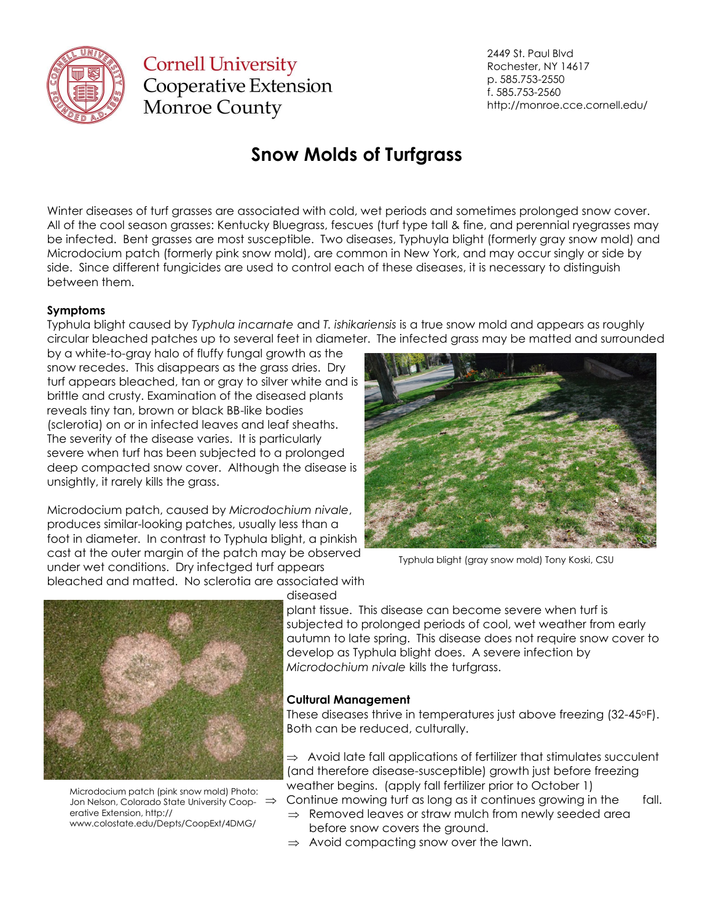

**Cornell University Cooperative Extension** Monroe County

2449 St. Paul Blvd Rochester, NY 14617 p. 585.753-2550 f. 585.753-2560 http://monroe.cce.cornell.edu/

# **Snow Molds of Turfgrass**

Winter diseases of turf grasses are associated with cold, wet periods and sometimes prolonged snow cover. All of the cool season grasses: Kentucky Bluegrass, fescues (turf type tall & fine, and perennial ryegrasses may be infected. Bent grasses are most susceptible. Two diseases, Typhuyla blight (formerly gray snow mold) and Microdocium patch (formerly pink snow mold), are common in New York, and may occur singly or side by side. Since different fungicides are used to control each of these diseases, it is necessary to distinguish between them.

### **Symptoms**

Typhula blight caused by *Typhula incarnate* and *T. ishikariensis* is a true snow mold and appears as roughly circular bleached patches up to several feet in diameter. The infected grass may be matted and surrounded

by a white-to-gray halo of fluffy fungal growth as the snow recedes. This disappears as the grass dries. Dry turf appears bleached, tan or gray to silver white and is brittle and crusty. Examination of the diseased plants reveals tiny tan, brown or black BB-like bodies (sclerotia) on or in infected leaves and leaf sheaths. The severity of the disease varies. It is particularly severe when turf has been subjected to a prolonged deep compacted snow cover. Although the disease is unsightly, it rarely kills the grass.

Microdocium patch, caused by *Microdochium nivale*, produces similar-looking patches, usually less than a foot in diameter. In contrast to Typhula blight, a pinkish cast at the outer margin of the patch may be observed under wet conditions. Dry infectged turf appears bleached and matted. No sclerotia are associated with



Typhula blight (gray snow mold) Tony Koski, CSU



Microdocium patch (pink snow mold) Photo: Jon Nelson, Colorado State University Coop- $\Rightarrow$ erative Extension, http:// www.colostate.edu/Depts/CoopExt/4DMG/

diseased

plant tissue. This disease can become severe when turf is subjected to prolonged periods of cool, wet weather from early autumn to late spring. This disease does not require snow cover to develop as Typhula blight does. A severe infection by *Microdochium nivale* kills the turfgrass.

#### **Cultural Management**

These diseases thrive in temperatures just above freezing (32-45oF). Both can be reduced, culturally.

 $\Rightarrow$  Avoid late fall applications of fertilizer that stimulates succulent (and therefore disease-susceptible) growth just before freezing weather begins. (apply fall fertilizer prior to October 1)

Continue mowing turf as long as it continues growing in the fall.

- $\Rightarrow$  Removed leaves or straw mulch from newly seeded area before snow covers the ground.
- $\Rightarrow$  Avoid compacting snow over the lawn.